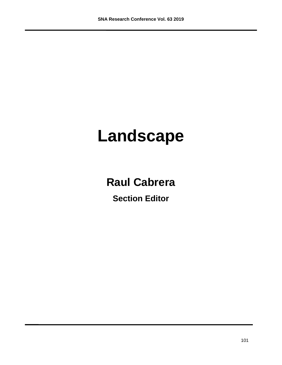# **Landscape**

## **Raul Cabrera**

**Section Editor**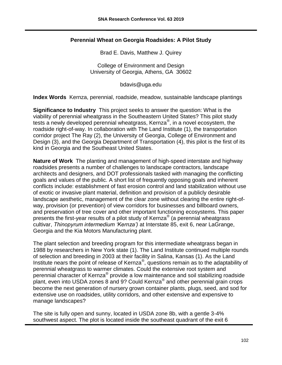#### **Perennial Wheat on Georgia Roadsides: A Pilot Study**

Brad E. Davis, Matthew J. Quirey

College of Environment and Design University of Georgia, Athens, GA 30602

bdavis@uga.edu

**Index Words** Kernza, perennial, roadside, meadow, sustainable landscape plantings

**Significance to Industry** This project seeks to answer the question: What is the viability of perennial wheatgrass in the Southeastern United States? This pilot study tests a newly developed perennial wheatgrass, Kernza®, in a novel ecosystem, the roadside right-of-way. In collaboration with The Land Institute (1), the transportation corridor project The Ray (2), the University of Georgia, College of Environment and Design (3), and the Georgia Department of Transportation (4), this pilot is the first of its kind in Georgia and the Southeast United States.

**Nature of Work** The planting and management of high-speed interstate and highway roadsides presents a number of challenges to landscape contractors, landscape architects and designers, and DOT professionals tasked with managing the conflicting goals and values of the public. A short list of frequently opposing goals and inherent conflicts include: establishment of fast erosion control and land stabilization without use of exotic or invasive plant material, definition and provision of a publicly desirable landscape aesthetic, management of the clear zone without clearing the entire right-ofway, provision (or prevention) of view corridors for businesses and billboard owners, and preservation of tree cover and other important functioning ecosystems. This paper presents the first-year results of a pilot study of Kernza® (a perennial wheatgrass cultivar, *Thinopyrum intermedium 'Kernza')* at Interstate 85, exit 6, near LaGrange, Georgia and the Kia Motors Manufacturing plant.

The plant selection and breeding program for this intermediate wheatgrass began in 1988 by researchers in New York state (1). The Land Institute continued multiple rounds of selection and breeding in 2003 at their facility in Salina, Kansas (1). As the Land Institute nears the point of release of Kernza®, questions remain as to the adaptability of perennial wheatgrass to warmer climates. Could the extensive root system and perennial character of Kernza® provide a low maintenance and soil stabilizing roadside .<br>plant, even into USDA zones 8 and 9? Could Kernza® and other perennial grain crops become the next generation of nursery grown container plants, plugs, seed, and sod for extensive use on roadsides, utility corridors, and other extensive and expensive to manage landscapes?

The site is fully open and sunny, located in USDA zone 8b, with a gentle 3-4% southwest aspect. The plot is located inside the southeast quadrant of the exit 6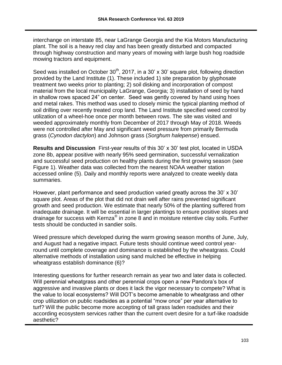interchange on interstate 85, near LaGrange Georgia and the Kia Motors Manufacturing plant. The soil is a heavy red clay and has been greatly disturbed and compacted through highway construction and many years of mowing with large bush hog roadside mowing tractors and equipment.

Seed was installed on October  $30<sup>th</sup>$ , 2017, in a 30' x 30' square plot, following direction provided by the Land Institute (1). These included 1) site preparation by glyphosate treatment two weeks prior to planting; 2) soil disking and incorporation of compost material from the local municipality LaGrange, Georgia; 3) installation of seed by hand in shallow rows spaced 24" on center. Seed was gently covered by hand using hoes and metal rakes. This method was used to closely mimic the typical planting method of soil drilling over recently treated crop land. The Land Institute specified weed control by utilization of a wheel-hoe once per month between rows. The site was visited and weeded approximately monthly from December of 2017 through May of 2018. Weeds were not controlled after May and significant weed pressure from primarily Bermuda grass (*Cynodon dactylon*) and Johnson grass (*Sorghum halepense*) ensued.

**Results and Discussion** First-year results of this 30' x 30' test plot, located in USDA zone 8b, appear positive with nearly 95% seed germination, successful vernalization and successful seed production on healthy plants during the first growing season (see Figure 1). Weather data was collected from the nearest NOAA weather station accessed online (5). Daily and monthly reports were analyzed to create weekly data summaries.

However, plant performance and seed production varied greatly across the 30' x 30' square plot. Areas of the plot that did not drain well after rains prevented significant growth and seed production. We estimate that nearly 50% of the planting suffered from inadequate drainage. It will be essential in larger plantings to ensure positive slopes and drainage for success with Kernza® in zone 8 and in moisture retentive clay soils. Further tests should be conducted in sandier soils.

Weed pressure which developed during the warm growing season months of June, July, and August had a negative impact. Future tests should continue weed control yearround until complete coverage and dominance is established by the wheatgrass. Could alternative methods of installation using sand mulched be effective in helping wheatgrass establish dominance (6)?

Interesting questions for further research remain as year two and later data is collected. Will perennial wheatgrass and other perennial crops open a new Pandora's box of aggressive and invasive plants or does it lack the vigor necessary to compete? What is the value to local ecosystems? Will DOT's become amenable to wheatgrass and other crop utilization on public roadsides as a potential "mow once" per year alternative to turf? Will the public become more accepting of tall grass laden roadsides and their according ecosystem services rather than the current overt desire for a turf-like roadside aesthetic?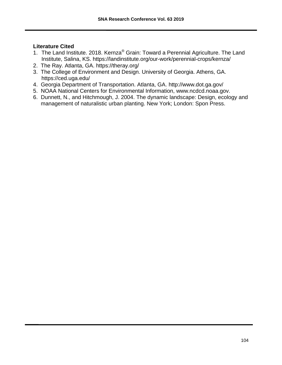#### **Literature Cited**

- 1. The Land Institute. 2018. Kernza<sup>®</sup> Grain: Toward a Perennial Agriculture. The Land Institute, Salina, KS. https://landinstitute.org/our-work/perennial-crops/kernza/
- 2. The Ray. Atlanta, GA. https://theray.org/
- 3. The College of Environment and Design. University of Georgia. Athens, GA. https://ced.uga.edu/
- 4. Georgia Department of Transportation. Atlanta, GA. http://www.dot.ga.gov/
- 5. NOAA National Centers for Environmental Information, www.ncdcd.noaa.gov.
- 6. Dunnett, N., and Hitchmough, J. 2004. The dynamic landscape: Design, ecology and management of naturalistic urban planting. New York; London: Spon Press.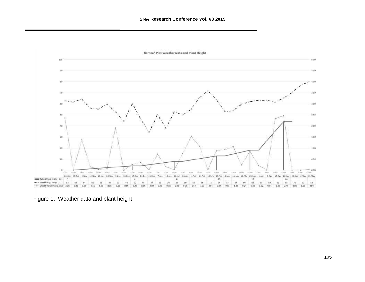

Figure 1. Weather data and plant height.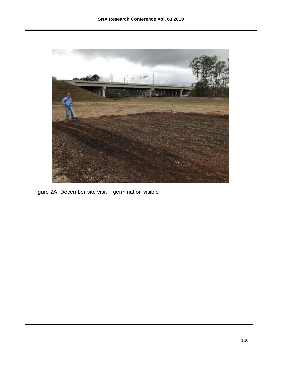

Figure 2A: December site visit – germination visible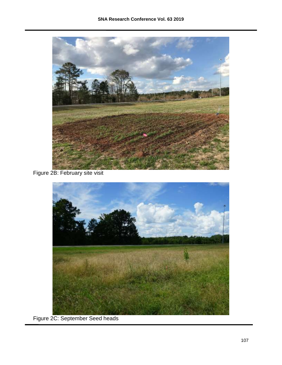

### Figure 2B: February site visit



Figure 2C: September Seed heads